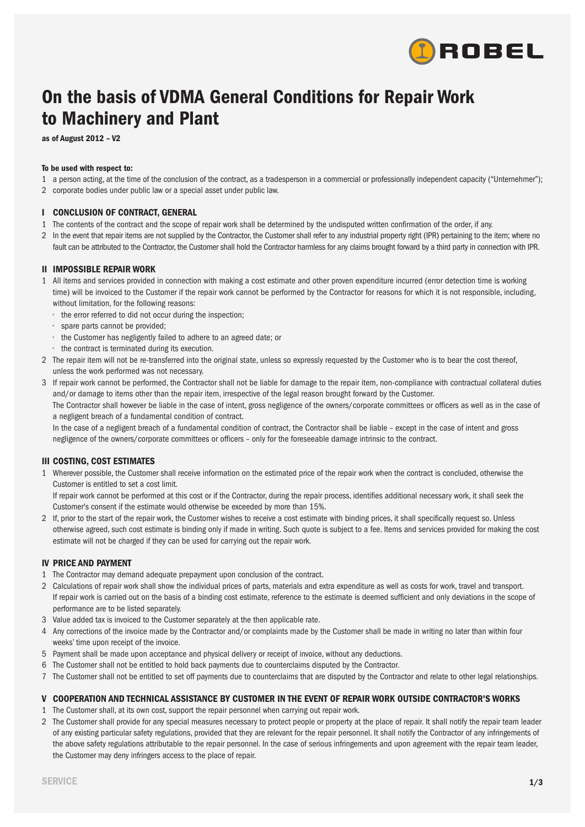

# **On the basis of VDMA General Conditions for Repair Work to Machinery and Plant**

**as of August 2012 – V2**

### **To be used with respect to:**

- 1 a person acting, at the time of the conclusion of the contract, as a tradesperson in a commercial or professionally independent capacity ("Unternehmer");
- 2 corporate bodies under public law or a special asset under public law.

# **I CONCLUSION OF CONTRACT, GENERAL**

- 1 The contents of the contract and the scope of repair work shall be determined by the undisputed written confirmation of the order, if any.
- 2 In the event that repair items are not supplied by the Contractor, the Customer shall refer to any industrial property right (IPR) pertaining to the item; where no fault can be attributed to the Contractor, the Customer shall hold the Contractor harmless for any claims brought forward by a third party in connection with IPR.

# **II IMPOSSIBLE REPAIR WORK**

- 1 All items and services provided in connection with making a cost estimate and other proven expenditure incurred (error detection time is working time) will be invoiced to the Customer if the repair work cannot be performed by the Contractor for reasons for which it is not responsible, including, without limitation, for the following reasons:
	- the error referred to did not occur during the inspection;
	- spare parts cannot be provided;
	- the Customer has negligently failed to adhere to an agreed date; or
	- the contract is terminated during its execution.
- 2 The repair item will not be re-transferred into the original state, unless so expressly requested by the Customer who is to bear the cost thereof, unless the work performed was not necessary.
- 3 If repair work cannot be performed, the Contractor shall not be liable for damage to the repair item, non-compliance with contractual collateral duties and/or damage to items other than the repair item, irrespective of the legal reason brought forward by the Customer. The Contractor shall however be liable in the case of intent, gross negligence of the owners/corporate committees or officers as well as in the case of a negligent breach of a fundamental condition of contract.

In the case of a negligent breach of a fundamental condition of contract, the Contractor shall be liable – except in the case of intent and gross negligence of the owners/corporate committees or officers – only for the foreseeable damage intrinsic to the contract.

# **III COSTING, COST ESTIMATES**

1 Wherever possible, the Customer shall receive information on the estimated price of the repair work when the contract is concluded, otherwise the Customer is entitled to set a cost limit.

If repair work cannot be performed at this cost or if the Contractor, during the repair process, identifies additional necessary work, it shall seek the Customer's consent if the estimate would otherwise be exceeded by more than 15%.

2 If, prior to the start of the repair work, the Customer wishes to receive a cost estimate with binding prices, it shall specifically request so. Unless otherwise agreed, such cost estimate is binding only if made in writing. Such quote is subject to a fee. Items and services provided for making the cost estimate will not be charged if they can be used for carrying out the repair work.

# **IV PRICE AND PAYMENT**

- 1 The Contractor may demand adequate prepayment upon conclusion of the contract.
- 2 Calculations of repair work shall show the individual prices of parts, materials and extra expenditure as well as costs for work, travel and transport. If repair work is carried out on the basis of a binding cost estimate, reference to the estimate is deemed sufficient and only deviations in the scope of performance are to be listed separately.
- 3 Value added tax is invoiced to the Customer separately at the then applicable rate.
- 4 Any corrections of the invoice made by the Contractor and/or complaints made by the Customer shall be made in writing no later than within four weeks' time upon receipt of the invoice.
- 5 Payment shall be made upon acceptance and physical delivery or receipt of invoice, without any deductions.
- 6 The Customer shall not be entitled to hold back payments due to counterclaims disputed by the Contractor.
- 7 The Customer shall not be entitled to set off payments due to counterclaims that are disputed by the Contractor and relate to other legal relationships.

# **V COOPERATION AND TECHNICAL ASSISTANCE BY CUSTOMER IN THE EVENT OF REPAIR WORK OUTSIDE CONTRACTOR'S WORKS**

- 1 The Customer shall, at its own cost, support the repair personnel when carrying out repair work.
- 2 The Customer shall provide for any special measures necessary to protect people or property at the place of repair. It shall notify the repair team leader of any existing particular safety regulations, provided that they are relevant for the repair personnel. It shall notify the Contractor of any infringements of the above safety regulations attributable to the repair personnel. In the case of serious infringements and upon agreement with the repair team leader, the Customer may deny infringers access to the place of repair.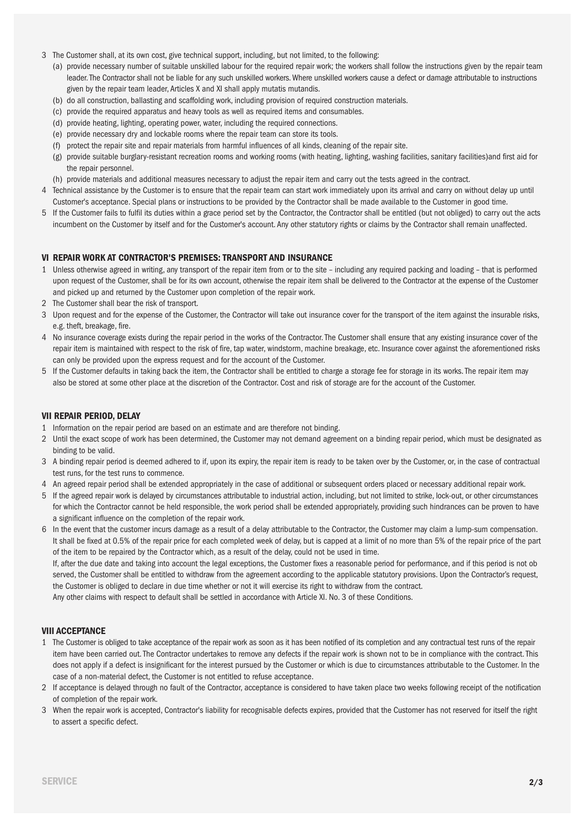- 3 The Customer shall, at its own cost, give technical support, including, but not limited, to the following:
	- (a) provide necessary number of suitable unskilled labour for the required repair work; the workers shall follow the instructions given by the repair team leader.The Contractor shall not be liable for any such unskilled workers.Where unskilled workers cause a defect or damage attributable to instructions given by the repair team leader, Articles X and XI shall apply mutatis mutandis.
	- (b) do all construction, ballasting and scaffolding work, including provision of required construction materials.
	- (c) provide the required apparatus and heavy tools as well as required items and consumables.
	- (d) provide heating, lighting, operating power, water, including the required connections.
	- (e) provide necessary dry and lockable rooms where the repair team can store its tools.
	- (f) protect the repair site and repair materials from harmful influences of all kinds, cleaning of the repair site.
	- (g) provide suitable burglary-resistant recreation rooms and working rooms (with heating, lighting, washing facilities, sanitary facilities)and first aid for the repair personnel.
	- (h) provide materials and additional measures necessary to adjust the repair item and carry out the tests agreed in the contract.
- 4 Technical assistance by the Customer is to ensure that the repair team can start work immediately upon its arrival and carry on without delay up until Customer's acceptance. Special plans or instructions to be provided by the Contractor shall be made available to the Customer in good time.
- 5 If the Customer fails to fulfil its duties within a grace period set by the Contractor, the Contractor shall be entitled (but not obliged) to carry out the acts incumbent on the Customer by itself and for the Customer's account. Any other statutory rights or claims by the Contractor shall remain unaffected.

#### **VI REPAIR WORK AT CONTRACTOR'S PREMISES: TRANSPORT AND INSURANCE**

- 1 Unless otherwise agreed in writing, any transport of the repair item from or to the site including any required packing and loading that is performed upon request of the Customer, shall be for its own account, otherwise the repair item shall be delivered to the Contractor at the expense of the Customer and picked up and returned by the Customer upon completion of the repair work.
- 2 The Customer shall bear the risk of transport.
- 3 Upon request and for the expense of the Customer, the Contractor will take out insurance cover for the transport of the item against the insurable risks, e.g. theft, breakage, fire.
- 4 No insurance coverage exists during the repair period in the works of the Contractor.The Customer shall ensure that any existing insurance cover of the repair item is maintained with respect to the risk of fire, tap water, windstorm, machine breakage, etc. Insurance cover against the aforementioned risks can only be provided upon the express request and for the account of the Customer.
- 5 If the Customer defaults in taking back the item, the Contractor shall be entitled to charge a storage fee for storage in its works.The repair item may also be stored at some other place at the discretion of the Contractor. Cost and risk of storage are for the account of the Customer.

# **VII REPAIR PERIOD, DELAY**

- 1 Information on the repair period are based on an estimate and are therefore not binding.
- 2 Until the exact scope of work has been determined, the Customer may not demand agreement on a binding repair period, which must be designated as binding to be valid.
- 3 A binding repair period is deemed adhered to if, upon its expiry, the repair item is ready to be taken over by the Customer, or, in the case of contractual test runs, for the test runs to commence.
- 4 An agreed repair period shall be extended appropriately in the case of additional or subsequent orders placed or necessary additional repair work.
- 5 If the agreed repair work is delayed by circumstances attributable to industrial action, including, but not limited to strike, lock-out, or other circumstances for which the Contractor cannot be held responsible, the work period shall be extended appropriately, providing such hindrances can be proven to have a significant influence on the completion of the repair work.
- 6 In the event that the customer incurs damage as a result of a delay attributable to the Contractor, the Customer may claim a lump-sum compensation. It shall be fixed at 0.5% of the repair price for each completed week of delay, but is capped at a limit of no more than 5% of the repair price of the part of the item to be repaired by the Contractor which, as a result of the delay, could not be used in time.

If, after the due date and taking into account the legal exceptions, the Customer fixes a reasonable period for performance, and if this period is not ob served, the Customer shall be entitled to withdraw from the agreement according to the applicable statutory provisions. Upon the Contractor's request, the Customer is obliged to declare in due time whether or not it will exercise its right to withdraw from the contract. Any other claims with respect to default shall be settled in accordance with Article XI. No. 3 of these Conditions.

#### **VIII ACCEPTANCE**

- 1 The Customer is obliged to take acceptance of the repair work as soon as it has been notified of its completion and any contractual test runs of the repair item have been carried out.The Contractor undertakes to remove any defects if the repair work is shown not to be in compliance with the contract.This does not apply if a defect is insignificant for the interest pursued by the Customer or which is due to circumstances attributable to the Customer. In the case of a non-material defect, the Customer is not entitled to refuse acceptance.
- 2 If acceptance is delayed through no fault of the Contractor, acceptance is considered to have taken place two weeks following receipt of the notification of completion of the repair work.
- 3 When the repair work is accepted, Contractor's liability for recognisable defects expires, provided that the Customer has not reserved for itself the right to assert a specific defect.